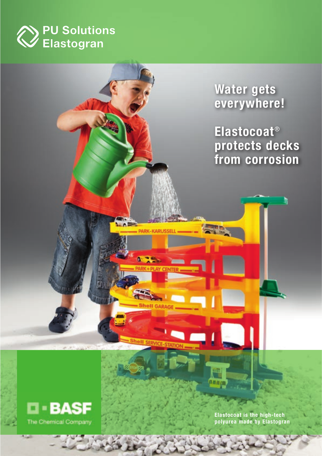





**Elastocoat is the high-tech polyurea made by Elastogran**